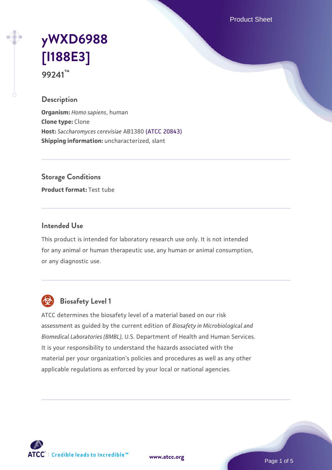Product Sheet

# **[yWXD6988](https://www.atcc.org/products/99241) [\[I188E3\]](https://www.atcc.org/products/99241) 99241™**

### **Description**

**Organism:** *Homo sapiens*, human **Clone type:** Clone **Host:** *Saccharomyces cerevisiae* AB1380 [\(ATCC 20843\)](https://www.atcc.org/products/20843) **Shipping information:** uncharacterized, slant

**Storage Conditions**

**Product format:** Test tube

### **Intended Use**

This product is intended for laboratory research use only. It is not intended for any animal or human therapeutic use, any human or animal consumption, or any diagnostic use.



# **Biosafety Level 1**

ATCC determines the biosafety level of a material based on our risk assessment as guided by the current edition of *Biosafety in Microbiological and Biomedical Laboratories (BMBL)*, U.S. Department of Health and Human Services. It is your responsibility to understand the hazards associated with the material per your organization's policies and procedures as well as any other applicable regulations as enforced by your local or national agencies.

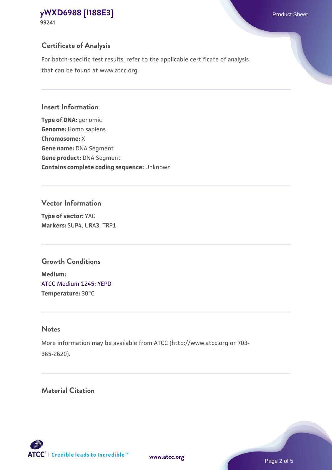# **Certificate of Analysis**

For batch-specific test results, refer to the applicable certificate of analysis that can be found at www.atcc.org.

### **Insert Information**

**Type of DNA:** genomic **Genome:** Homo sapiens **Chromosome:** X **Gene name:** DNA Segment **Gene product:** DNA Segment **Contains complete coding sequence:** Unknown

### **Vector Information**

**Type of vector:** YAC **Markers:** SUP4; URA3; TRP1

## **Growth Conditions**

**Medium:**  [ATCC Medium 1245: YEPD](https://www.atcc.org/-/media/product-assets/documents/microbial-media-formulations/1/2/4/5/atcc-medium-1245.pdf?rev=705ca55d1b6f490a808a965d5c072196) **Temperature:** 30°C

## **Notes**

More information may be available from ATCC (http://www.atcc.org or 703- 365-2620).

# **Material Citation**

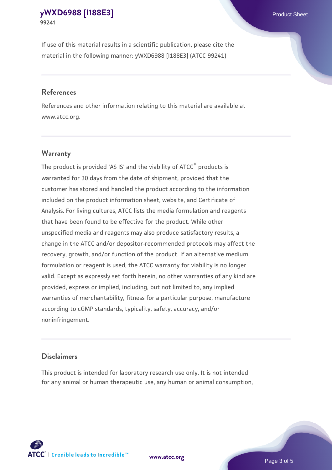If use of this material results in a scientific publication, please cite the material in the following manner: yWXD6988 [I188E3] (ATCC 99241)

### **References**

References and other information relating to this material are available at www.atcc.org.

### **Warranty**

The product is provided 'AS IS' and the viability of  $ATCC<sup>®</sup>$  products is warranted for 30 days from the date of shipment, provided that the customer has stored and handled the product according to the information included on the product information sheet, website, and Certificate of Analysis. For living cultures, ATCC lists the media formulation and reagents that have been found to be effective for the product. While other unspecified media and reagents may also produce satisfactory results, a change in the ATCC and/or depositor-recommended protocols may affect the recovery, growth, and/or function of the product. If an alternative medium formulation or reagent is used, the ATCC warranty for viability is no longer valid. Except as expressly set forth herein, no other warranties of any kind are provided, express or implied, including, but not limited to, any implied warranties of merchantability, fitness for a particular purpose, manufacture according to cGMP standards, typicality, safety, accuracy, and/or noninfringement.

#### **Disclaimers**

This product is intended for laboratory research use only. It is not intended for any animal or human therapeutic use, any human or animal consumption,



**[www.atcc.org](http://www.atcc.org)**

Page 3 of 5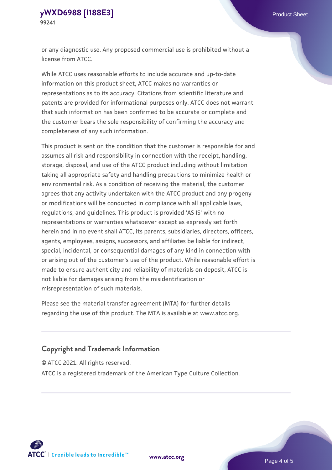or any diagnostic use. Any proposed commercial use is prohibited without a license from ATCC.

While ATCC uses reasonable efforts to include accurate and up-to-date information on this product sheet, ATCC makes no warranties or representations as to its accuracy. Citations from scientific literature and patents are provided for informational purposes only. ATCC does not warrant that such information has been confirmed to be accurate or complete and the customer bears the sole responsibility of confirming the accuracy and completeness of any such information.

This product is sent on the condition that the customer is responsible for and assumes all risk and responsibility in connection with the receipt, handling, storage, disposal, and use of the ATCC product including without limitation taking all appropriate safety and handling precautions to minimize health or environmental risk. As a condition of receiving the material, the customer agrees that any activity undertaken with the ATCC product and any progeny or modifications will be conducted in compliance with all applicable laws, regulations, and guidelines. This product is provided 'AS IS' with no representations or warranties whatsoever except as expressly set forth herein and in no event shall ATCC, its parents, subsidiaries, directors, officers, agents, employees, assigns, successors, and affiliates be liable for indirect, special, incidental, or consequential damages of any kind in connection with or arising out of the customer's use of the product. While reasonable effort is made to ensure authenticity and reliability of materials on deposit, ATCC is not liable for damages arising from the misidentification or misrepresentation of such materials.

Please see the material transfer agreement (MTA) for further details regarding the use of this product. The MTA is available at www.atcc.org.

### **Copyright and Trademark Information**

© ATCC 2021. All rights reserved.

ATCC is a registered trademark of the American Type Culture Collection.



**[www.atcc.org](http://www.atcc.org)**